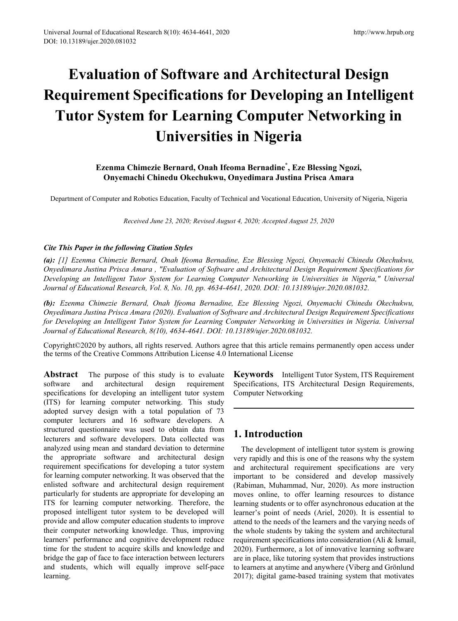# **Evaluation of Software and Architectural Design Requirement Specifications for Developing an Intelligent Tutor System for Learning Computer Networking in Universities in Nigeria**

## **Ezenma Chimezie Bernard, Onah Ifeoma Bernadine\* , Eze Blessing Ngozi, Onyemachi Chinedu Okechukwu, Onyedimara Justina Prisca Amara**

Department of Computer and Robotics Education, Faculty of Technical and Vocational Education, University of Nigeria, Nigeria

*Received June 23, 2020; Revised August 4, 2020; Accepted August 25, 2020*

## *Cite This Paper in the following Citation Styles*

*(a): [1] Ezenma Chimezie Bernard, Onah Ifeoma Bernadine, Eze Blessing Ngozi, Onyemachi Chinedu Okechukwu, Onyedimara Justina Prisca Amara , "Evaluation of Software and Architectural Design Requirement Specifications for Developing an Intelligent Tutor System for Learning Computer Networking in Universities in Nigeria," Universal Journal of Educational Research, Vol. 8, No. 10, pp. 4634-4641, 2020. DOI: 10.13189/ujer.2020.081032.* 

*(b): Ezenma Chimezie Bernard, Onah Ifeoma Bernadine, Eze Blessing Ngozi, Onyemachi Chinedu Okechukwu, Onyedimara Justina Prisca Amara (2020). Evaluation of Software and Architectural Design Requirement Specifications*  for Developing an Intelligent Tutor System for Learning Computer Networking in Universities in Nigeria. Universal *Journal of Educational Research, 8(10), 4634-4641. DOI: 10.13189/ujer.2020.081032.* 

Copyright©2020 by authors, all rights reserved. Authors agree that this article remains permanently open access under the terms of the Creative Commons Attribution License 4.0 International License

**Abstract** The purpose of this study is to evaluate software and architectural design requirement specifications for developing an intelligent tutor system (ITS) for learning computer networking. This study adopted survey design with a total population of 73 computer lecturers and 16 software developers. A structured questionnaire was used to obtain data from lecturers and software developers. Data collected was analyzed using mean and standard deviation to determine the appropriate software and architectural design requirement specifications for developing a tutor system for learning computer networking. It was observed that the enlisted software and architectural design requirement particularly for students are appropriate for developing an ITS for learning computer networking. Therefore, the proposed intelligent tutor system to be developed will provide and allow computer education students to improve their computer networking knowledge. Thus, improving learners' performance and cognitive development reduce time for the student to acquire skills and knowledge and bridge the gap of face to face interaction between lecturers and students, which will equally improve self-pace learning.

**Keywords** Intelligent Tutor System, ITS Requirement Specifications, ITS Architectural Design Requirements, Computer Networking

# **1. Introduction**

The development of intelligent tutor system is growing very rapidly and this is one of the reasons why the system and architectural requirement specifications are very important to be considered and develop massively (Rabiman, Muhammad, Nur, 2020). As more instruction moves online, to offer learning resources to distance learning students or to offer asynchronous education at the learner's point of needs (Ariel, 2020). It is essential to attend to the needs of the learners and the varying needs of the whole students by taking the system and architectural requirement specifications into consideration (Ali & İsmail, 2020). Furthermore, a lot of innovative learning software are in place, like tutoring system that provides instructions to learners at anytime and anywhere (Viberg and Grönlund 2017); digital game-based training system that motivates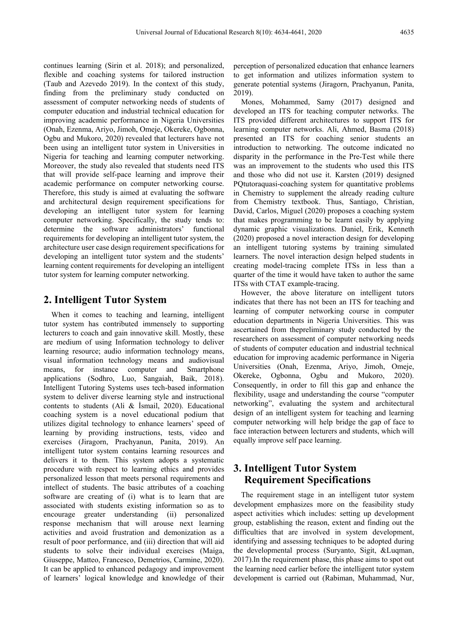continues learning (Sirin et al. 2018); and personalized, flexible and coaching systems for tailored instruction (Taub and Azevedo 2019). In the context of this study, finding from the preliminary study conducted on assessment of computer networking needs of students of computer education and industrial technical education for improving academic performance in Nigeria Universities (Onah, Ezenma, Ariyo, Jimoh, Omeje, Okereke, Ogbonna, Ogbu and Mukoro, 2020) revealed that lecturers have not been using an intelligent tutor system in Universities in Nigeria for teaching and learning computer networking. Moreover, the study also revealed that students need ITS that will provide self-pace learning and improve their academic performance on computer networking course. Therefore, this study is aimed at evaluating the software and architectural design requirement specifications for developing an intelligent tutor system for learning computer networking. Specifically, the study tends to: determine the software administrators' functional requirements for developing an intelligent tutor system, the architecture user case design requirement specifications for developing an intelligent tutor system and the students' learning content requirements for developing an intelligent tutor system for learning computer networking.

## **2. Intelligent Tutor System**

When it comes to teaching and learning, intelligent tutor system has contributed immensely to supporting lecturers to coach and gain innovative skill. Mostly, these are medium of using Information technology to deliver learning resource; audio information technology means, visual information technology means and audiovisual means, for instance computer and Smartphone applications (Sodhro, Luo, Sangaiah, Baik, 2018). Intelligent Tutoring Systems uses tech-based information system to deliver diverse learning style and instructional contents to students (Ali & İsmail, 2020). Educational coaching system is a novel educational podium that utilizes digital technology to enhance learners' speed of learning by providing instructions, tests, video and exercises (Jiragorn, Prachyanun, Panita, 2019). An intelligent tutor system contains learning resources and delivers it to them. This system adopts a systematic procedure with respect to learning ethics and provides personalized lesson that meets personal requirements and intellect of students. The basic attributes of a coaching software are creating of (i) what is to learn that are associated with students existing information so as to encourage greater understanding (ii) personalized response mechanism that will arouse next learning activities and avoid frustration and demonization as a result of poor performance, and (iii) direction that will aid students to solve their individual exercises (Maiga, Giuseppe, Matteo, Francesco, Demetrios, Carmine, 2020). It can be applied to enhanced pedagogy and improvement of learners' logical knowledge and knowledge of their

perception of personalized education that enhance learners to get information and utilizes information system to generate potential systems (Jiragorn, Prachyanun, Panita, 2019).

Mones, Mohammed, Samy (2017) designed and developed an ITS for teaching computer networks. The ITS provided different architectures to support ITS for learning computer networks. Ali, Ahmed, Basma (2018) presented an ITS for coaching senior students an introduction to networking. The outcome indicated no disparity in the performance in the Pre-Test while there was an improvement to the students who used this ITS and those who did not use it. Karsten (2019) designed PQtutoraquasi-coaching system for quantitative problems in Chemistry to supplement the already reading culture from Chemistry textbook. Thus, Santiago, Christian, David, Carlos, Miguel (2020) proposes a coaching system that makes programming to be learnt easily by applying dynamic graphic visualizations. Daniel, Erik, Kenneth (2020) proposed a novel interaction design for developing an intelligent tutoring systems by training simulated learners. The novel interaction design helped students in creating model-tracing complete ITSs in less than a quarter of the time it would have taken to author the same ITSs with CTAT example-tracing.

However, the above literature on intelligent tutors indicates that there has not been an ITS for teaching and learning of computer networking course in computer education departments in Nigeria Universities. This was ascertained from thepreliminary study conducted by the researchers on assessment of computer networking needs of students of computer education and industrial technical education for improving academic performance in Nigeria Universities (Onah, Ezenma, Ariyo, Jimoh, Omeje, Okereke, Ogbonna, Ogbu and Mukoro, 2020). Consequently, in order to fill this gap and enhance the flexibility, usage and understanding the course "computer networking", evaluating the system and architectural design of an intelligent system for teaching and learning computer networking will help bridge the gap of face to face interaction between lecturers and students, which will equally improve self pace learning.

# **3. Intelligent Tutor System Requirement Specifications**

The requirement stage in an intelligent tutor system development emphasizes more on the feasibility study aspect activities which includes: setting up development group, establishing the reason, extent and finding out the difficulties that are involved in system development, identifying and assessing techniques to be adopted during the developmental process (Suryanto, Sigit, &Luqman, 2017).In the requirement phase, this phase aims to spot out the learning need earlier before the intelligent tutor system development is carried out (Rabiman, Muhammad, Nur,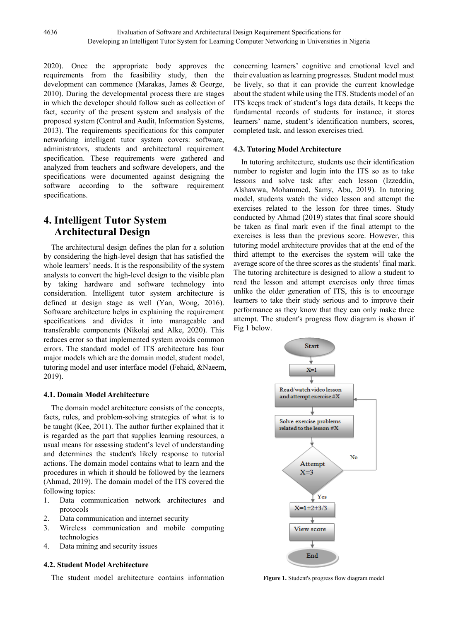2020). Once the appropriate body approves the requirements from the feasibility study, then the development can commence (Marakas, James & George, 2010). During the developmental process there are stages in which the developer should follow such as collection of fact, security of the present system and analysis of the proposed system (Control and Audit, Information Systems, 2013). The requirements specifications for this computer networking intelligent tutor system covers: software, administrators, students and architectural requirement specification. These requirements were gathered and analyzed from teachers and software developers, and the specifications were documented against designing the software according to the software requirement specifications.

# **4. Intelligent Tutor System Architectural Design**

The architectural design defines the plan for a solution by considering the high-level design that has satisfied the whole learners' needs. It is the responsibility of the system analysts to convert the high-level design to the visible plan by taking hardware and software technology into consideration. Intelligent tutor system architecture is defined at design stage as well (Yan, Wong, 2016). Software architecture helps in explaining the requirement specifications and divides it into manageable and transferable components (Nikolaj and Alke, 2020). This reduces error so that implemented system avoids common errors. The standard model of ITS architecture has four major models which are the domain model, student model, tutoring model and user interface model (Fehaid, &Naeem, 2019).

### **4.1. Domain Model Architecture**

The domain model architecture consists of the concepts, facts, rules, and problem-solving strategies of what is to be taught (Kee, 2011). The author further explained that it is regarded as the part that supplies learning resources, a usual means for assessing student's level of understanding and determines the student's likely response to tutorial actions. The domain model contains what to learn and the procedures in which it should be followed by the learners (Ahmad, 2019). The domain model of the ITS covered the following topics:

- 1. Data communication network architectures and protocols
- 2. Data communication and internet security
- 3. Wireless communication and mobile computing technologies
- 4. Data mining and security issues

## **4.2. Student Model Architecture**

The student model architecture contains information

concerning learners' cognitive and emotional level and their evaluation as learning progresses. Student model must be lively, so that it can provide the current knowledge about the student while using the ITS. Students model of an ITS keeps track of student's logs data details. It keeps the fundamental records of students for instance, it stores learners' name, student's identification numbers, scores, completed task, and lesson exercises tried.

## **4.3. Tutoring Model Architecture**

In tutoring architecture, students use their identification number to register and login into the ITS so as to take lessons and solve task after each lesson (Izzeddin, Alshawwa, Mohammed, Samy, Abu, 2019). In tutoring model, students watch the video lesson and attempt the exercises related to the lesson for three times. Study conducted by Ahmad (2019) states that final score should be taken as final mark even if the final attempt to the exercises is less than the previous score. However, this tutoring model architecture provides that at the end of the third attempt to the exercises the system will take the average score of the three scores as the students' final mark. The tutoring architecture is designed to allow a student to read the lesson and attempt exercises only three times unlike the older generation of ITS, this is to encourage learners to take their study serious and to improve their performance as they know that they can only make three attempt. The student's progress flow diagram is shown if Fig 1 below.



**Figure 1.** Student's progress flow diagram model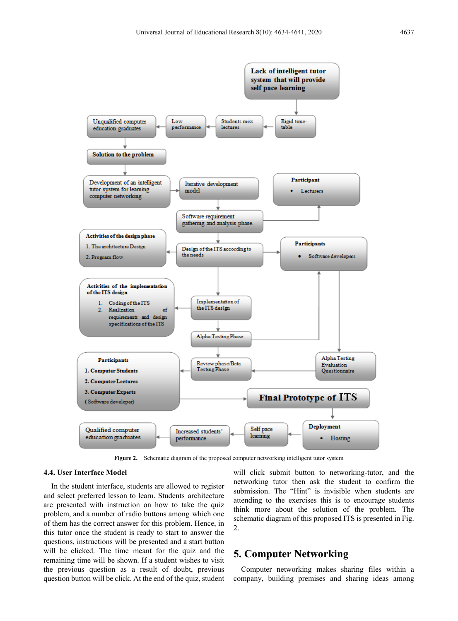

**Figure 2.** Schematic diagram of the proposed computer networking intelligent tutor system

#### **4.4. User Interface Model**

In the student interface, students are allowed to register and select preferred lesson to learn. Students architecture are presented with instruction on how to take the quiz problem, and a number of radio buttons among which one of them has the correct answer for this problem. Hence, in this tutor once the student is ready to start to answer the questions, instructions will be presented and a start button will be clicked. The time meant for the quiz and the remaining time will be shown. If a student wishes to visit the previous question as a result of doubt, previous question button will be click. At the end of the quiz, student

will click submit button to networking-tutor, and the networking tutor then ask the student to confirm the submission. The "Hint" is invisible when students are attending to the exercises this is to encourage students think more about the solution of the problem. The schematic diagram of this proposed ITS is presented in Fig. 2.

## **5. Computer Networking**

Computer networking makes sharing files within a company, building premises and sharing ideas among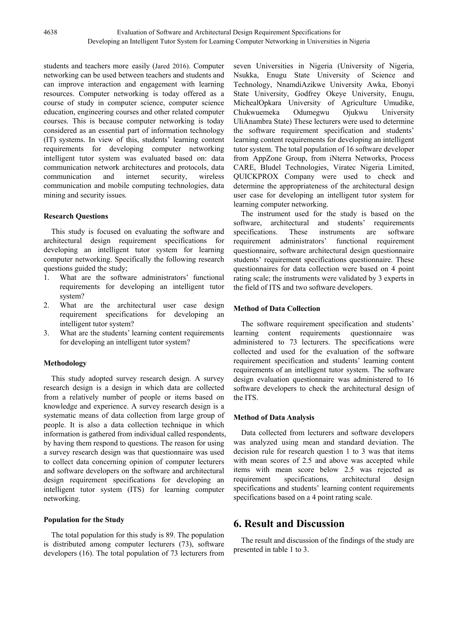students and teachers more easily (Jared 2016). Computer networking can be used between teachers and students and can improve interaction and engagement with learning resources. Computer networking is today offered as a course of study in computer science, computer science education, engineering courses and other related computer courses. This is because computer networking is today considered as an essential part of information technology (IT) systems. In view of this, students' learning content requirements for developing computer networking intelligent tutor system was evaluated based on: data communication network architectures and protocols, data communication and internet security, wireless communication and mobile computing technologies, data mining and security issues.

### **Research Questions**

This study is focused on evaluating the software and architectural design requirement specifications for developing an intelligent tutor system for learning computer networking. Specifically the following research questions guided the study;

- 1. What are the software administrators' functional requirements for developing an intelligent tutor system?
- 2. What are the architectural user case design requirement specifications for developing an intelligent tutor system?
- 3. What are the students' learning content requirements for developing an intelligent tutor system?

## **Methodology**

This study adopted survey research design. A survey research design is a design in which data are collected from a relatively number of people or items based on knowledge and experience. A survey research design is a systematic means of data collection from large group of people. It is also a data collection technique in which information is gathered from individual called respondents, by having them respond to questions. The reason for using a survey research design was that questionnaire was used to collect data concerning opinion of computer lecturers and software developers on the software and architectural design requirement specifications for developing an intelligent tutor system (ITS) for learning computer networking.

### **Population for the Study**

The total population for this study is 89. The population is distributed among computer lecturers (73), software developers (16). The total population of 73 lecturers from

seven Universities in Nigeria (University of Nigeria, Nsukka, Enugu State University of Science and Technology, NnamdiAzikwe University Awka, Ebonyi State University, Godfrey Okeye University, Enugu, MichealOpkara University of Agriculture Umudike, Chukwuemeka Odumegwu Ojukwu University UliAnambra State) These lecturers were used to determine the software requirement specification and students' learning content requirements for developing an intelligent tutor system. The total population of 16 software developer from AppZone Group, from iNterra Networks, Process CARE, Bludel Technologies, Viratec Nigeria Limited, QUICKPROX Company were used to check and determine the appropriateness of the architectural design user case for developing an intelligent tutor system for learning computer networking.

The instrument used for the study is based on the software, architectural and students' requirements specifications. These instruments are software<br>requirement administrators' functional requirement requirement administrators' functional questionnaire, software architectural design questionnaire students' requirement specifications questionnaire. These questionnaires for data collection were based on 4 point rating scale; the instruments were validated by 3 experts in the field of ITS and two software developers.

## **Method of Data Collection**

The software requirement specification and students' learning content requirements questionnaire was administered to 73 lecturers. The specifications were collected and used for the evaluation of the software requirement specification and students' learning content requirements of an intelligent tutor system. The software design evaluation questionnaire was administered to 16 software developers to check the architectural design of the ITS.

### **Method of Data Analysis**

Data collected from lecturers and software developers was analyzed using mean and standard deviation. The decision rule for research question 1 to 3 was that items with mean scores of 2.5 and above was accepted while items with mean score below 2.5 was rejected as requirement specifications, architectural design specifications and students' learning content requirements specifications based on a 4 point rating scale.

## **6. Result and Discussion**

The result and discussion of the findings of the study are presented in table 1 to 3.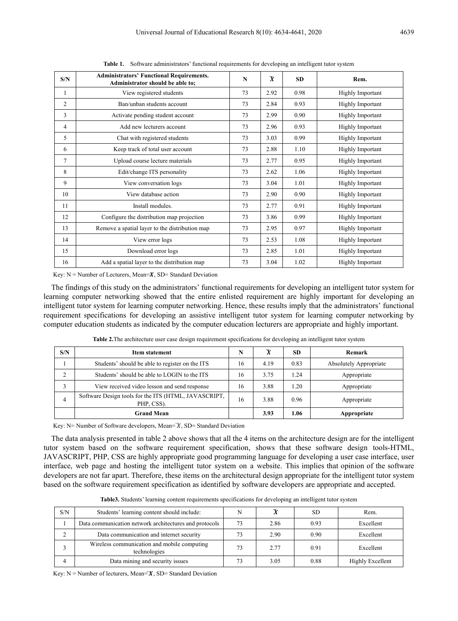| S/N | <b>Administrators' Functional Requirements.</b><br>Administrator should be able to; | N  | $\overline{\mathbf{x}}$ | <b>SD</b> | Rem.                    |
|-----|-------------------------------------------------------------------------------------|----|-------------------------|-----------|-------------------------|
| 1   | View registered students                                                            | 73 | 2.92                    | 0.98      | <b>Highly Important</b> |
| 2   | Ban/unban students account                                                          | 73 | 2.84                    | 0.93      | <b>Highly Important</b> |
| 3   | Activate pending student account                                                    | 73 | 2.99                    | 0.90      | <b>Highly Important</b> |
| 4   | Add new lecturers account                                                           | 73 | 2.96                    | 0.93      | <b>Highly Important</b> |
| 5   | Chat with registered students                                                       | 73 | 3.03                    | 0.99      | <b>Highly Important</b> |
| 6   | Keep track of total user account                                                    | 73 | 2.88                    | 1.10      | <b>Highly Important</b> |
| 7   | Upload course lecture materials                                                     | 73 | 2.77                    | 0.95      | <b>Highly Important</b> |
| 8   | Edit/change ITS personality                                                         | 73 | 2.62                    | 1.06      | <b>Highly Important</b> |
| 9   | View conversation logs                                                              | 73 | 3.04                    | 1.01      | <b>Highly Important</b> |
| 10  | View database action                                                                | 73 | 2.90                    | 0.90      | <b>Highly Important</b> |
| 11  | Install modules.                                                                    | 73 | 2.77                    | 0.91      | Highly Important        |
| 12  | Configure the distribution map projection                                           | 73 | 3.86                    | 0.99      | <b>Highly Important</b> |
| 13  | Remove a spatial layer to the distribution map                                      | 73 | 2.95                    | 0.97      | <b>Highly Important</b> |
| 14  | View error logs                                                                     | 73 | 2.53                    | 1.08      | <b>Highly Important</b> |
| 15  | Download error logs                                                                 | 73 | 2.85                    | 1.01      | <b>Highly Important</b> |
| 16  | Add a spatial layer to the distribution map                                         | 73 | 3.04                    | 1.02      | <b>Highly Important</b> |

**Table 1.** Software administrators' functional requirements for developing an intelligent tutor system

Key:  $N =$  Number of Lecturers, Mean= $X$ , SD= Standard Deviation

The findings of this study on the administrators' functional requirements for developing an intelligent tutor system for learning computer networking showed that the entire enlisted requirement are highly important for developing an intelligent tutor system for learning computer networking. Hence, these results imply that the administrators' functional requirement specifications for developing an assistive intelligent tutor system for learning computer networking by computer education students as indicated by the computer education lecturers are appropriate and highly important.

| S/N | Item statement                                                     | N  | X    | <b>SD</b> | Remark                        |
|-----|--------------------------------------------------------------------|----|------|-----------|-------------------------------|
|     | Students' should be able to register on the ITS                    | 16 | 4.19 | 0.83      | <b>Absolutely Appropriate</b> |
|     | Students' should be able to LOGIN to the ITS                       | 16 | 3.75 | 1.24      | Appropriate                   |
|     | View received video lesson and send response                       | 16 | 3.88 | 1.20      | Appropriate                   |
| 4   | Software Design tools for the ITS (HTML, JAVASCRIPT,<br>PHP, CSS). | 16 | 3.88 | 0.96      | Appropriate                   |
|     | <b>Grand Mean</b>                                                  |    | 3.93 | 1.06      | Appropriate                   |

**Table 2.**The architecture user case design requirement specifications for developing an intelligent tutor system

Key: N= Number of Software developers, Mean= $\bar{X}$ , SD= Standard Deviation

The data analysis presented in table 2 above shows that all the 4 items on the architecture design are for the intelligent tutor system based on the software requirement specification, shows that these software design tools-HTML, JAVASCRIPT, PHP, CSS are highly appropriate good programming language for developing a user case interface, user interface, web page and hosting the intelligent tutor system on a website. This implies that opinion of the software developers are not far apart. Therefore, these items on the architectural design appropriate for the intelligent tutor system based on the software requirement specification as identified by software developers are appropriate and accepted.

**Table3.** Students' learning content requirements specifications for developing an intelligent tutor system

| S/N | Students' learning content should include:                  | N  |      | SD.  | Rem.             |
|-----|-------------------------------------------------------------|----|------|------|------------------|
|     | Data communication network architectures and protocols      | 73 | 2.86 | 0.93 | Excellent        |
|     | Data communication and internet security                    | 73 | 2.90 | 0.90 | Excellent        |
|     | Wireless communication and mobile computing<br>technologies | 73 | 2.77 | 0.91 | Excellent        |
|     | Data mining and security issues                             | 73 | 3.05 | 0.88 | Highly Excellent |

Key:  $N =$  Number of lecturers, Mean= $X$ , SD= Standard Deviation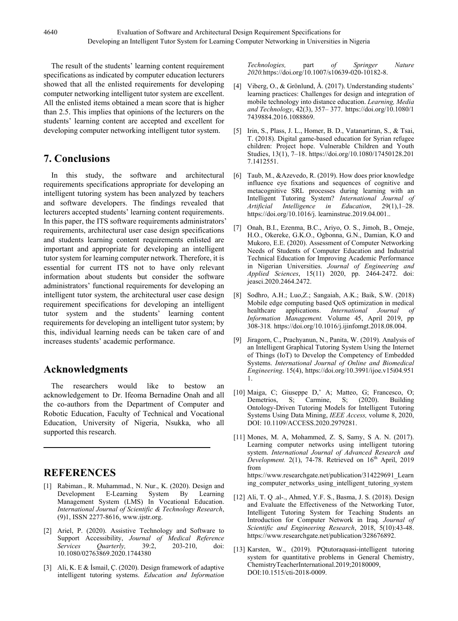The result of the students' learning content requirement specifications as indicated by computer education lecturers showed that all the enlisted requirements for developing computer networking intelligent tutor system are excellent. All the enlisted items obtained a mean score that is higher than 2.5. This implies that opinions of the lecturers on the students' learning content are accepted and excellent for developing computer networking intelligent tutor system.

# **7. Conclusions**

In this study, the software and architectural requirements specifications appropriate for developing an intelligent tutoring system has been analyzed by teachers and software developers. The findings revealed that lecturers accepted students' learning content requirements. In this paper, the ITS software requirements administrators' requirements, architectural user case design specifications and students learning content requirements enlisted are important and appropriate for developing an intelligent tutor system for learning computer network. Therefore, it is essential for current ITS not to have only relevant information about students but consider the software administrators' functional requirements for developing an intelligent tutor system, the architectural user case design requirement specifications for developing an intelligent tutor system and the students' learning content requirements for developing an intelligent tutor system; by this, individual learning needs can be taken care of and increases students' academic performance.

# **Acknowledgments**

The researchers would like to bestow an acknowledgement to Dr. Ifeoma Bernadine Onah and all the co-authors from the Department of Computer and Robotic Education, Faculty of Technical and Vocational Education, University of Nigeria, Nsukka, who all supported this research.

# **REFERENCES**

- [1] Rabiman., R. Muhammad., N. Nur., K. (2020). Design and Development E-Learning System By Learning Management System (LMS) In Vocational Education. *International Journal of Scientific & Technology Research*, (9)1, ISSN 2277-8616, www.ijstr.org.
- [2] Ariel, P. (2020). Assistive Technology and Software to Support Accessibility, *Journal of Medical Reference Services Quarterly,* 39:2, 203-210, doi: 10.1080/02763869.2020.1744380
- [3] Ali, K. E & İsmail, Ç. (2020). Design framework of adaptive intelligent tutoring systems. *Education and Information*

*Technologies,* part *of Springer Nature 2020.*https://doi.org/10.1007/s10639-020-10182-8.

- [4] Viberg, O., & Grönlund, Å. (2017). Understanding students' learning practices: Challenges for design and integration of mobile technology into distance education. *Learning, Media and Technology*, 42(3), 357– 377. https://doi.org/10.1080/1 7439884.2016.1088869.
- [5] Irin, S., Plass, J. L., Homer, B. D., Vatanartiran, S., & Tsai, T. (2018). Digital game-based education for Syrian refugee children: Project hope. Vulnerable Children and Youth Studies, 13(1), 7–18. https://doi.org/10.1080/17450128.201 7.1412551.
- [6] Taub, M., &Azevedo, R. (2019). How does prior knowledge influence eye fixations and sequences of cognitive and metacognitive SRL processes during learning with an Intelligent Tutoring System? *International Journal of Artificial Intelligence in* https://doi.org/10.1016/j. learninstruc.2019.04.001..
- [7] Onah, B.I., Ezenma, B.C., Ariyo, O. S., Jimoh, B., Omeje, H.O., Okereke, G.K.O., Ogbonna, G.N., Damian, K.O and Mukoro, E.E. (2020). Assessment of Computer Networking Needs of Students of Computer Education and Industrial Technical Education for Improving Academic Performance in Nigerian Universities. *Journal of Engineering and Applied Sciences*, 15(11) 2020, pp. 2464-2472. doi: jeasci.2020.2464.2472.
- [8] Sodhro, A.H.; Luo,Z.; Sangaiah, A.K.; Baik, S.W. (2018) Mobile edge computing based QoS optimization in medical healthcare applications. *International Journal of* International Journal of *Information Management.* Volume 45, April 2019, pp 308-318*.* https://doi.org/10.1016/j.ijinfomgt.2018.08.004.
- [9] Jiragorn, C., Prachyanun, N., Panita, W. (2019). Analysis of an Intelligent Graphical Tutoring System Using the Internet of Things (IoT) to Develop the Competency of Embedded Systems. *International Journal of Online and Biomedical Engineering*. 15(4), https://doi.org/10.3991/ijoe.v15i04.951 1.
- [10] Maiga, C; Giuseppe D,' A; Matteo, G; Francesco, O; Carmine, Ontology-Driven Tutoring Models for Intelligent Tutoring Systems Using Data Mining, *IEEE Access,* volume 8, 2020, DOI: 10.1109/ACCESS.2020.2979281.
- [11] Mones, M. A, Mohammed, Z. S, Samy, S A. N. (2017). Learning computer networks using intelligent tutoring system. *International Journal of Advanced Research and Development.* 2(1), 74-78. Retrieved on  $16<sup>th</sup>$  April, 2019 from https://www.researchgate.net/publication/314229691\_Learn ing computer networks using intelligent tutoring system
- [12] Ali, T. Q .al-., Ahmed, Y.F. S., Basma, J. S. (2018). Design and Evaluate the Effectiveness of the Networking Tutor, Intelligent Tutoring System for Teaching Students an Introduction for Computer Network in Iraq. *Journal of Scientific and Engineering Research*, 2018, 5(10):43-48. https://www.researchgate.net/publication/328676892.
- [13] Karsten, W., (2019). PQtutoraquasi-intelligent tutoring system for quantitative problems in General Chemistry, ChemistryTeacherInternational.2019;20180009, DOI:10.1515/cti-2018-0009.